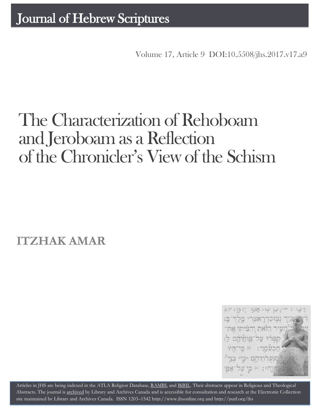Volume 17, Article 9 [DOI:10.5508/jhs.2017.v17.a9](http://dx.doi.org/10.5508/jhs.2017.v17.a9)

# The Characterization of Rehoboam and Jeroboam as a Reflection of the Chronicler's View of the Schism

**ITZHAK AMAR**



Articles in JHS are being indexed in the ATLA Religion Database, [RAMBI,](http://jnul.huji.ac.il/rambi/) and [BiBIL.](http://bibil.net/) Their abstracts appear in Religious and Theological Abstracts. The journal is [archived](http://epe.lac-bac.gc.ca/100/201/300/journal_hebrew/index.html) by Library and Archives Canada and is accessible for consultation and research at the Electronic Collection site maintained by [Library and Archives Canada.](http://collectionscanada.ca/electroniccollection/003008-200-e.html) ISSN 1203–154[2 http://www.jhsonline.org](http://www.jhsonline.org/) and<http://purl.org/jhs>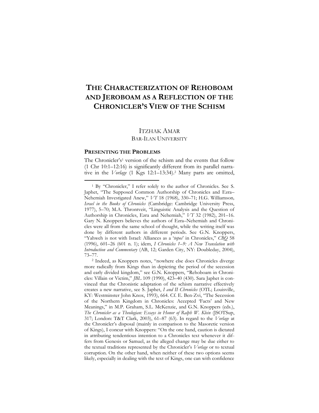# **THE CHARACTERIZATION OF REHOBOAM AND JEROBOAM AS A REFLECTION OF THE CHRONICLER'S VIEW OF THE SCHISM**

# ITZHAK AMAR BAR-ILAN UNIVERSITY

#### **PRESENTING THE PROBLEMS**

 $\overline{a}$ 

The Chronicler's<sup>1</sup> version of the schism and the events that follow (1 Chr 10:1–12:16) is significantly different from its parallel narrative in the *Vorlage* (1 Kgs 12:1–13:34).<sup>2</sup> Many parts are omitted,

<sup>1</sup> By "Chronicler," I refer solely to the author of Chronicles. See S. Japhet, "The Supposed Common Authorship of Chronicles and Ezra– Nehemiah Investigated Anew," *VT* 18 (1968), 330–71; H.G. Williamson*, Israel in the Books of Chronicles* (Cambridge: Cambridge University Press, 1977), 5–70; M.A. Throntveit, "Linguistic Analysis and the Question of Authorship in Chronicles, Ezra and Nehemiah," *VT* 32 (1982), 201–16. Gary N. Knoppers believes the authors of Ezra–Nehemiah and Chronicles were all from the same school of thought, while the writing itself was done by different authors in different periods. See G.N. Knoppers, "Yahweh is not with Israel: Alliances as a '*topos*' in Chronicles," *CBQ* 58 (1996), 601–26 (601 n. 1); idem, *I Chronicles 1–9: A New Translation with Introduction and Commentary* (AB, 12; Garden City, NY: Doubleday, 2004), 73–77.

<sup>2</sup> Indeed, as Knoppers notes, "nowhere else does Chronicles diverge more radically from Kings than in depicting the period of the secession and early divided kingdom," see G.N. Knoppers, "Rehoboam in Chronicles: Villain or Victim," *JBL* 109 (1990), 423–40 (430). Sara Japhet is convinced that the Chronistic adaptation of the schism narrative effectively creates a new narrative, see S. Japhet, *I and II Chronicles* (OTL; Louisville, KY: Westminster John Knox, 1993), 664. Cf. E. Ben-Zvi, "The Secession of the Northern Kingdom in Chronicles: Accepted 'Facts' and New Meanings," in M.P. Graham, S.L. McKenzie, and G.N. Knoppers (eds.), *The Chronicler as a Theologian: Essays in Honor of Ralph W. Klein* (JSOTSup, 317; London: T&T Clark, 2003), 61–87 (63). In regard to the *Vorlage* at the Chronicler's disposal (mainly in comparison to the Masoretic version of Kings), I concur with Knoppers: "On the one hand, caution is dictated in attributing tendentious intention to a Chronicles text whenever it differs from Genesis or Samuel, as the alleged change may be due either to the textual traditions represented by the Chronicler's *Vorlage* or to textual corruption. On the other hand, when neither of these two options seems likely, especially in dealing with the text of Kings, one can with confidence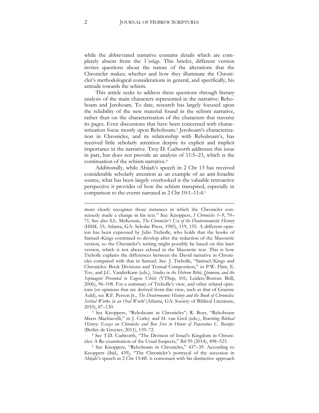while the abbreviated narrative contains details which are completely absent from the *Vorlage*. This briefer, different version invites questions about the nature of the alterations that the Chronicler makes; whether and how they illuminate the Chronicler's methodological considerations in general, and specifically, his attitude towards the schism.

This article seeks to address these questions through literary analysis of the main characters represented in the narrative: Rehoboam and Jeroboam. To date, research has largely focused upon the reliability of the new material found in the schism narrative, rather than on the characterization of the characters that traverse its pages. Even discussions that have been concerned with characterization focus mostly upon Rehoboam.<sup>3</sup> Jeroboam's characterization in Chronicles, and its relationship with Rehoboam's, has received little scholarly attention despite its explicit and implicit importance in the narrative. Troy D. Cudworth addresses this issue in part, but does not provide an analysis of 11:5–23, which is the continuation of the schism narrative.<sup>4</sup>

Additionally, while Abijah's speech in 2 Chr 13 has received considerable scholarly attention as an example of an anti-Israelite source, what has been largely overlooked is the valuable retroactive perspective it provides of how the schism transpired, especially in comparison to the events narrated in 2 Chr 10:1–11:4.<sup>5</sup>

<sup>3</sup> See Knoppers, "Rehoboam in Chronicles"; R. Boer, "Rehoboam Meets Machiavelli," in J. Corley and H. van Grol (eds.), *Rewriting Biblical History: Essays on Chronicles and Ben Sira in Honor of Pancratius C. Beentjes* (Berlin: de Gruyter, 2011), 159–72.

<sup>4</sup> See T.D. Cudworth, "The Division of Israel's Kingdom in Chronicles: A Re-examination of the Usual Suspects," *Bib* 95 (2014), 498–523.

<sup>5</sup> See Knoppers, "Rehoboam in Chronicles," 437–39. According to Knoppers (ibid., 439), "The Chronicler's portrayal of the secession in Abijah's speech in 2 Chr 13:4ff. is consonant with his distinctive approach

more clearly recognize those instances in which the Chronicler consciously made a change in his text." See: Knoppers, *I Chronicles 1–9*, 70– 71. See also S.L. McKenzie, *The Chronicler's Use of the Deuteronomistic History* (HSM, 33; Atlanta, GA: Scholar Press, 1985), 119, 155. A different opinion has been expressed by Julio Trebolle, who holds that the books of Samuel–Kings continued to develop after the redaction of the Masoretic version, so the Chronicler's writing might possibly be based on this later version, which is not always echoed in the Masoretic text. This is how Trebolle explains the differences between the David narrative in Chronicles compared with that in Samuel. See J. Trebolle, "Samuel/Kings and Chronicles: Book Divisions and Textual Composition," in P.W. Flint, E. Tov, and J.C. VanderKam (eds.), *Studies in the Hebrew Bible, Qumran, and the Septuagint Presented to Eugene Ulrich* (VTSup, 101; Leiden/Boston: Brill, 2006), 96–108. For a summary of Trebolle's view, and other related opinions (or opinions that are derived from this view, such as that of Graeme Auld), see R.F. Person Jr., *The Deuteronomic History and the Book of Chronicles: Scribal Works in an Oral World* (Atlanta, GA: Society of Biblical Literature, 2010), 87–130.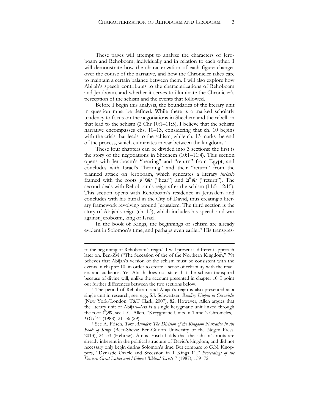These pages will attempt to analyze the characters of Jeroboam and Rehoboam, individually and in relation to each other. I will demonstrate how the characterization of each figure changes over the course of the narrative, and how the Chronicler takes care to maintain a certain balance between them. I will also explore how Abijah's speech contributes to the characterizations of Rehoboam and Jeroboam, and whether it serves to illuminate the Chronicler's perception of the schism and the events that followed.

Before I begin this analysis, the boundaries of the literary unit in question must be defined. While there is a marked scholarly tendency to focus on the negotiations in Shechem and the rebellion that lead to the schism (2 Chr 10:1–11:5), I believe that the schism narrative encompasses chs. 10–13, considering that ch. 10 begins with the crisis that leads to the schism, while ch. 13 marks the end of the process, which culminates in war between the kingdoms.<sup>6</sup>

These four chapters can be divided into 3 sections: the first is the story of the negotiations in Shechem (10:1–11:4). This section opens with Jeroboam's "hearing" and "return" from Egypt, and concludes with Israel's "hearing" and their "return" from the planned attack on Jeroboam, which generates a literary *inclusio* framed with the roots  $y''$ שמ" $($ "hear") and שו"ב ("return"). The second deals with Rehoboam's reign after the schism (11:5–12:15). This section opens with Rehoboam's residence in Jerusalem and concludes with his burial in the City of David, thus creating a literary framework revolving around Jerusalem. The third section is the story of Abijah's reign (ch. 13), which includes his speech and war against Jeroboam, king of Israel.

In the book of Kings, the beginnings of schism are already evident in Solomon's time, and perhaps even earlier.<sup>7</sup> His transgres-

to the beginning of Rehoboam's reign." I will present a different approach later on. Ben-Zvi ("The Secession of the of the Northern Kingdom," 79) believes that Abijah's version of the schism must be consistent with the events in chapter 10, in order to create a sense of reliability with the readers and audience. Yet Abijah does not state that the schism transpired because of divine will, unlike the account presented in chapter 10. I point out further differences between the two sections below.

<sup>6</sup> The period of Rehoboam and Abijah's reign is also presented as a single unit in research, see, e.g., S.J. Schweitzer, *Reading Utopia in Chronicles* (New York/London: T&T Clark, 2007), 82. However, Allen argues that the literary unit of Abijah–Asa is a single kerygmatic unit linked through the root נ"שע, see L.C. Allen, "Kerygmatic Units in 1 and 2 Chronicles," *JSOT* 41 (1988), 21–36 (29).

<sup>7</sup> See A. Frisch, *Torn Asunder: The Division of the Kingdom Narrative in the Book of Kings* (Beer-Sheva: Ben-Gurion University of the Negev Press, 2013), 24–33 (Hebrew). Amos Frisch holds that the schism's roots are already inherent in the political structure of David's kingdom, and did not necessary only begin during Solomon's time. But compare to G.N. Knoppers, "Dynastic Oracle and Secession in 1 Kings 11," *Proceedings of the Eastern Great Lakes and Midwest Biblical Society* 7 (1987), 159–72.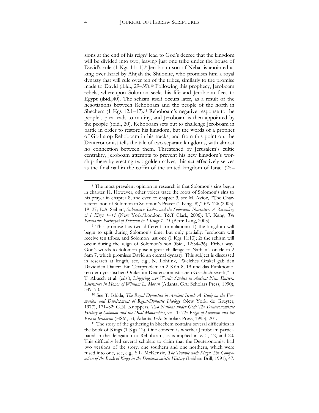sions at the end of his reign<sup>8</sup> lead to God's decree that the kingdom will be divided into two, leaving just one tribe under the house of David's rule (1 Kgs 11:11).<sup>9</sup> Jeroboam son of Nebat is anointed as king over Israel by Ahijah the Shilonite, who promises him a royal dynasty that will rule over ten of the tribes, similarly to the promise made to David (ibid., 29–39).<sup>10</sup> Following this prophecy, Jeroboam rebels, whereupon Solomon seeks his life and Jeroboam flees to Egypt (ibid.,40). The schism itself occurs later, as a result of the negotiations between Rehoboam and the people of the north in Shechem (1 Kgs 12:1–17).<sup>11</sup> Rehoboam's negative response to the people's plea leads to mutiny, and Jeroboam is then appointed by the people (ibid., 20). Rehoboam sets out to challenge Jeroboam in battle in order to restore his kingdom, but the words of a prophet of God stop Rehoboam in his tracks, and from this point on, the Deuteronomist tells the tale of two separate kingdoms, with almost no connection between them. Threatened by Jerusalem's cultic centrality, Jeroboam attempts to prevent his new kingdom's worship there by erecting two golden calves; this act effectively serves as the final nail in the coffin of the united kingdom of Israel (25–

<sup>&</sup>lt;sup>8</sup> The most prevalent opinion in research is that Solomon's sins begin in chapter 11. However, other voices trace the roots of Solomon's sins to his prayer in chapter 8, and even to chapter 3, see M. Avioz, "The Characterization of Solomon in Solomon's Prayer (1 Kings 8)," *BN* 126 (2005), 19–27; E.A. Seibert, *Subversive Scribes and the Solomonic Narrative: A Rereading of 1 Kings 1–11* (New York/London: T&T Clark, 2006); J.J. Kang, *The Persuasive Portrayal of Solomon in 1 Kings 1–11* (Bern: Lang, 2003).

<sup>9</sup> This promise has two different formulations: 1) the kingdom will begin to split during Solomon's time, but only partially: Jeroboam will receive ten tribes, and Solomon just one (1 Kgs 11:13); 2) the schism will occur during the reign of Solomon's son (ibid., 12:34–36). Either way, God's words to Solomon pose a great challenge to Nathan's oracle in 2 Sam 7, which promises David an eternal dynasty. This subject is discussed in research at length, see, e.g., N. Lohfink, "Welches Orakel gab den Davididen Dauer? Ein Textproblem in 2 Kön 8, 19 und das Funktionieren der dynastischen Orakel im Deuteronomistischen Geschichtswerk," in T. Abusch et al. (eds.), *Lingering over Words: Studies in Ancient Near Eastern Literature in Honor of William L. Moran* (Atlanta, GA: Scholars Press, 1990), 349–70.

<sup>10</sup> See T. Ishida, *The Royal Dynasties in Ancient Israel: A Study on the Formation and Development of Royal-Dynastic Ideology* (New York: de Gruyter, 1977), 171–82; G.N. Knoppers, *Two Nations under God: The Deuteronomistic History of Solomon and the Dual Monarchies*, vol. 1: *The Reign of Solomon and the Rise of Jeroboam* (HSM, 53; Atlanta, GA: Scholars Press, 1993), 201.

<sup>&</sup>lt;sup>11</sup> The story of the gathering in Shechem contains several difficulties in the book of Kings (1 Kgs 12). One concern is whether Jeroboam participated in the delegation to Rehoboam, as is implied in v. 3, 12, and 20. This difficulty led several scholars to claim that the Deuteronomist had two versions of the story, one southern and one northern, which were fused into one, see, e.g., S.L. McKenzie, *The Trouble with Kings: The Composition of the Book of Kings in the Deuteronomistic History* (Leiden: Brill, 1991), 47.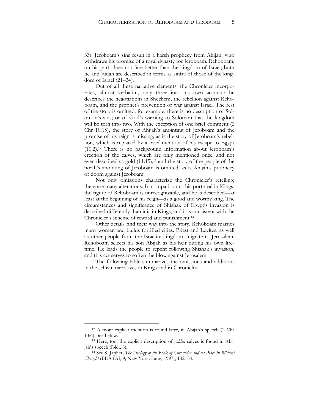33). Jeroboam's sins result in a harsh prophecy from Ahijah, who withdraws his promise of a royal dynasty for Jeroboam. Rehoboam, on his part, does not fare better than the kingdom of Israel; both he and Judah are described in terms as sinful of those of the kingdom of Israel (21–24).

Out of all these narrative elements, the Chronicler incorporates, almost verbatim, only three into his own account: he describes the negotiations in Shechem, the rebellion against Rehoboam, and the prophet's prevention of war against Israel. The rest of the story is omitted; for example, there is no description of Solomon's sins; or of God's warning to Solomon that the kingdom will be torn into two. With the exception of one brief comment (2 Chr 10:15), the story of Ahijah's anointing of Jeroboam and the promise of his reign is missing; as is the story of Jeroboam's rebellion, which is replaced by a brief mention of his escape to Egypt (10:2).<sup>12</sup> There is no background information about Jeroboam's erection of the calves, which are only mentioned once, and not even described as gold (11:15);<sup>13</sup> and the story of the people of the north's anointing of Jeroboam is omitted, as is Ahijah's prophecy of doom against Jeroboam.

Not only omissions characterize the Chronicler's retelling; there are many alterations. In comparison to his portrayal in Kings, the figure of Rehoboam is unrecognizable, and he is described—at least at the beginning of his reign—as a good and worthy king. The circumstances and significance of Shishak of Egypt's invasion is described differently than it is in Kings, and it is consistent with the Chronicler's scheme of reward and punishment.<sup>14</sup>

Other details find their way into the story. Rehoboam marries many women and builds fortified cities. Priest and Levites, as well as other people from the Israelite kingdom, migrate to Jerusalem. Rehoboam selects his son Abijah as his heir during his own lifetime. He leads the people to repent following Shishak's invasion, and this act serves to soften the blow against Jerusalem.

The following table summarizes the omissions and additions in the schism narratives in Kings and in Chronicles:

<sup>12</sup> A more explicit mention is found later, in Abijah's speech (2 Chr 13:6). See below.

<sup>13</sup> Here, too, the explicit description of *golden* calves is found in Abijah's speech (ibid., 8).

<sup>14</sup> See S. Japhet, *The Ideology of the Book of Chronicles and its Place in Biblical Thought* (BEATAJ, 9; New York: Lang, 1997), 132–34.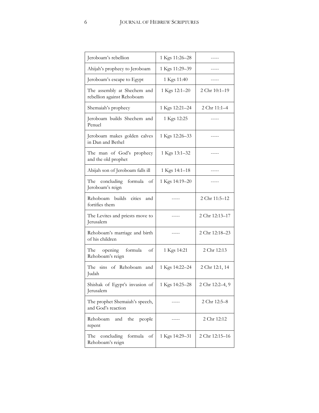| Jeroboam's rebellion                                      | 1 Kgs 11:26-28 |                 |
|-----------------------------------------------------------|----------------|-----------------|
| Ahijah's prophecy to Jeroboam                             | 1 Kgs 11:29-39 |                 |
| Jeroboam's escape to Egypt                                | 1 Kgs 11:40    |                 |
| The assembly at Shechem and<br>rebellion against Rehoboam | 1 Kgs 12:1-20  | 2 Chr 10:1-19   |
| Shemaiah's prophecy                                       | 1 Kgs 12:21-24 | 2 Chr 11:1-4    |
| Jeroboam builds Shechem and<br>Penuel                     | 1 Kgs 12:25    |                 |
| Jeroboam makes golden calves<br>in Dan and Bethel         | 1 Kgs 12:26-33 |                 |
| The man of God's prophecy<br>and the old prophet          | 1 Kgs 13:1-32  |                 |
| Abijah son of Jeroboam falls ill                          | 1 Kgs 14:1-18  |                 |
| The concluding<br>formula<br>οf<br>Jeroboam's reign       | 1 Kgs 14:19-20 |                 |
| Rehoboam builds cities<br>and<br>fortifies them           |                | 2 Chr 11:5-12   |
| The Levites and priests move to<br>Jerusalem              |                | 2 Chr 12:13-17  |
| Rehoboam's marriage and birth<br>of his children          |                | 2 Chr 12:18-23  |
| opening formula<br>The<br>οf<br>Rehoboam's reign          | 1 Kgs 14:21    | 2 Chr 12:13     |
| The sins of Rehoboam<br>and<br>Judah                      | 1 Kgs 14:22-24 | 2 Chr 12:1, 14  |
| Shishak of Egypt's invasion of<br>Jerusalem               | 1 Kgs 14:25-28 | 2 Chr 12:2-4, 9 |
| The prophet Shemaiah's speech,<br>and God's reaction      |                | 2 Chr 12:5-8    |
| Rehoboam<br>the<br>and<br>people<br>repent                |                | 2 Chr 12:12     |
| formula<br>concluding<br>The<br>οf<br>Rehoboam's reign    | 1 Kgs 14:29-31 | 2 Chr 12:15-16  |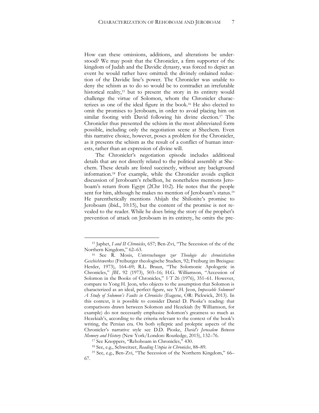How can these omissions, additions, and alterations be understood? We may posit that the Chronicler, a firm supporter of the kingdom of Judah and the Davidic dynasty, was forced to depict an event he would rather have omitted: the divinely ordained reduction of the Davidic line's power. The Chronicler was unable to deny the schism as to do so would be to contradict an irrefutable historical reality,<sup>15</sup> but to present the story in its entirety would challenge the virtue of Solomon, whom the Chronicler characterizes as one of the ideal figure in the book.<sup>16</sup> He also elected to omit the promises to Jeroboam, in order to avoid placing him on similar footing with David following his divine election.<sup>17</sup> The Chronicler thus presented the schism in the most abbreviated form possible, including only the negotiation scene at Shechem. Even this narrative choice, however, poses a problem for the Chronicler, as it presents the schism as the result of a conflict of human interests, rather than an expression of divine will.

The Chronicler's negotiation episode includes additional details that are not directly related to the political assembly at Shechem. These details are listed succinctly, without any background information.<sup>18</sup> For example, while the Chronicler avoids explicit discussion of Jeroboam's rebellion, he nonetheless mentions Jeroboam's return from Egypt (2Chr 10:2). He notes that the people sent for him, although he makes no mention of Jeroboam's status.<sup>19</sup> He parenthetically mentions Ahijah the Shilonite's promise to Jeroboam (ibid., 10:15), but the content of the promise is not revealed to the reader. While he does bring the story of the prophet's prevention of attack on Jeroboam in its entirety, he omits the pre-

<sup>15</sup> Japhet, *I and II Chronicles*, 657; Ben-Zvi, "The Secession of the of the Northern Kingdom," 62–63.

<sup>16</sup> See R. Mosis, *Untersuchungen zur Theologie des chronistischen Geschichtswerkes* (Freiburger theologische Studien, 92; Freiburg im Breisgau: Herder, 1973), 164–69; R.L. Braun, "The Solomonic Apologetic in Chronicles," *JBL* 92 (1973), 503–16; H.G. Williamson, "Accession of Solomon in the Books of Chronicles," *VT* 26 (1976), 351–61. However, compare to Yong H. Jeon, who objects to the assumption that Solomon is characterized as an ideal, perfect figure, see Y.H. Jeon, *Impeccable Solomon? A Study of Solomon's Faults in Chronicles* (Eugene, OR: Pickwick, 2013). In this context, it is possible to consider Daniel D. Pioske's reading: that comparisons drawn between Solomon and Hezekiah (by Williamson, for example) do not necessarily emphasize Solomon's greatness so much as Hezekiah's, according to the criteria relevant to the context of the book's writing, the Persian era. On both sylleptic and proleptic aspects of the Chronicler's narrative style see D.D. Pioske, *David's Jerusalem Between Memory and History* (New York/London: Routledge, 2015), 132–76.

<sup>17</sup> See Knoppers, "Rehoboam in Chronicles," 430.

<sup>18</sup> See, e.g., Schweitzer, *Reading Utopia in Chronicles*, 88–89.

<sup>19</sup> See, e.g., Ben-Zvi, "The Secession of the Northern Kingdom," 66– 67.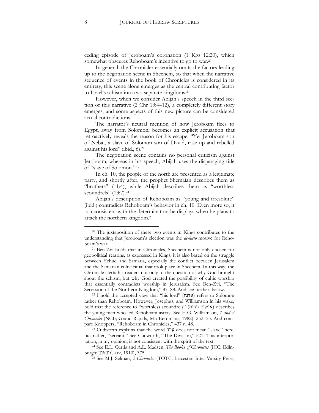ceding episode of Jeroboam's coronation (1 Kgs 12:20), which somewhat obscures Rehoboam's incentive to go to war.<sup>20</sup>

In general, the Chronicler essentially omits the factors leading up to the negotiation scene in Shechem, so that when the narrative sequence of events in the book of Chronicles is considered in its entirety, this scene alone emerges as the central contributing factor to Israel's schism into two separate kingdoms.<sup>21</sup>

However, when we consider Abijah's speech in the third section of this narrative (2 Chr 13:4–12), a completely different story emerges, and some aspects of this new picture can be considered actual contradictions.

The narrator's neutral mention of how Jeroboam flees to Egypt, away from Solomon, becomes an explicit accusation that retroactively reveals the reason for his escape: "Yet Jeroboam son of Nebat, a slave of Solomon son of David, rose up and rebelled against his lord" (ibid., 6).<sup>22</sup>

The negotiation scene contains no personal criticism against Jeroboam, whereas in his speech, Abijah uses the disparaging title of "slave of Solomon."<sup>23</sup>

In ch. 10, the people of the north are presented as a legitimate party, and shortly after, the prophet Shemaiah describes them as "brothers" (11:4), while Abijah describes them as "worthless scoundrels" (13:7).<sup>24</sup>

Abijah's description of Rehoboam as "young and irresolute" (ibid.) contradicts Rehoboam's behavior in ch. 10. Even more so, it is inconsistent with the determination he displays when he plans to attack the northern kingdom.<sup>25</sup>

<sup>20</sup> The juxtaposition of these two events in Kings contributes to the understanding that Jeroboam's election was the *de-facto* motive for Rehoboam's war.

<sup>21</sup> Ben-Zvi holds that in Chronicles, Shechem is not only chosen for geopolitical reasons, as expressed in Kings; it is also based on the struggle between Yehud and Samaria, especially the conflict between Jerusalem and the Samarian cultic ritual that took place in Shechem. In this way, the Chronicle alerts his readers not only to the question of why God brought about the schism, but why God created the possibility of cultic worship that essentially contradicts worship in Jerusalem. See Ben-Zvi, "The Secession of the Northern Kingdom," 87–88. And see further, below.

<sup>&</sup>lt;sup>22</sup> I hold the accepted view that "his lord" (אדניו refers to Solomon rather than Rehoboam. However, Josephus, and Williamson in his wake, hold that the reference to "worthless scoundrels" (אנשים רקים) describes the young men who led Rehoboam astray. See H.G. Williamson, *1 and 2 Chronicles* (NCB; Grand Rapids, MI: Eerdmans, 1982), 252–53. And compare Knoppers, "Rehoboam in Chronicles," 437 n. 48.

<sup>23</sup> Cudworth explains that the word עבד does not mean "slave" here, but rather, "servant." See Cudworth, "The Division," 521. This interpretation, in my opinion, is not consistent with the spirit of the text.

<sup>24</sup> See E.L. Curtis and A.L. Madsen, *The Books of Chronicles* (ICC; Edinburgh: T&T Clark, 1910), 375.

<sup>25</sup> See M.J. Selman, *2 Chronicles* (TOTC; Leicester: Inter-Varsity Press,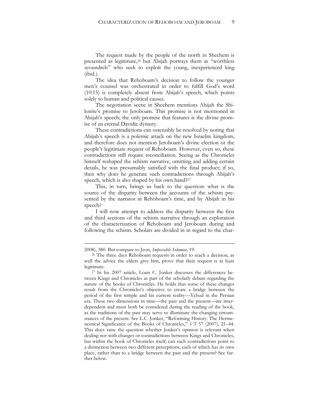The request made by the people of the north in Shechem is presented as legitimate,<sup>26</sup> but Abijah portrays them as "worthless scoundrels" who seek to exploit the young, inexperienced king (ibid.).

The idea that Rehoboam's decision to follow the younger men's counsel was orchestrated in order to fulfill God's word (10:15) is completely absent from Abijah's speech, which points solely to human and political causes.

The negotiation scene in Shechem mentions Ahijah the Shilonite's promise to Jeroboam. This promise is not mentioned in Abijah's speech; the only promise that features is the divine promise of an eternal Davidic dynasty.

These contradictions can ostensibly be resolved by noting that Abijah's speech is a polemic attack on the new Israelite kingdom, and therefore does not mention Jeroboam's divine election or the people's legitimate request of Rehoboam. However, even so, these contradictions still require reconciliation. Seeing as the Chronicler himself reshaped the schism narrative, omitting and adding certain details, he was presumably satisfied with the final product; if so, then why does he generate such contradictions through Abijah's speech, which is also shaped by his own hand?<sup>27</sup>

This, in turn, brings us back to the question: what is the source of the disparity between the accounts of the schism presented by the narrator in Rehoboam's time, and by Abijah in his speech?

I will now attempt to address the disparity between the first and third sections of the schism narrative through an exploration of the characterization of Rehoboam and Jeroboam during and following the schism. Scholars are divided in in regard to the char-

<sup>2008), 380.</sup> But compare to Jeon, *Impeccable Solomon*, 19.

<sup>26</sup> The three days Rehoboam requests in order to reach a decision, as well the advice the elders give him, prove that their request is at least legitimate.

<sup>27</sup> In his 2007 article, Louis C. Jonker discusses the differences between Kings and Chronicles as part of the scholarly debate regarding the nature of the books of Chronicles. He holds that some of these changes result from the Chronicler's objective to create a bridge between the period of the first temple and his current reality—Yehud in the Persian era. These two dimensions in time—the past and the present—are interdependent and must both be considered during the reading of the book, as the traditions of the past may serve to illuminate the changing circumstances of the present. See L.C. Jonker, "Reforming History: The Hermeneutical Significance of the Books of Chronicles," *VT* 57 (2007), 21–44. This does raise the question whether Jonker's opinion is relevant when dealing not with changes or contradictions between Kings and Chronicles, but within the book of Chronicles itself; can such contradictions point to a distinction between two different perceptions, each of which has its own place, rather than to a bridge between the past and the present? See further below.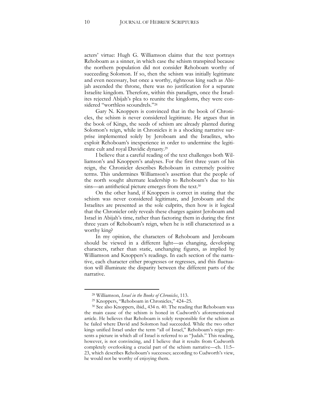acters' virtue: Hugh G. Williamson claims that the text portrays Rehoboam as a sinner, in which case the schism transpired because the northern population did not consider Rehoboam worthy of succeeding Solomon. If so, then the schism was initially legitimate and even necessary, but once a worthy, righteous king such as Abijah ascended the throne, there was no justification for a separate Israelite kingdom. Therefore, within this paradigm, once the Israelites rejected Abijah's plea to reunite the kingdoms, they were considered "worthless scoundrels."<sup>28</sup>

Gary N. Knoppers is convinced that in the book of Chronicles, the schism is never considered legitimate. He argues that in the book of Kings, the seeds of schism are already planted during Solomon's reign, while in Chronicles it is a shocking narrative surprise implemented solely by Jeroboam and the Israelites, who exploit Rehoboam's inexperience in order to undermine the legitimate cult and royal Davidic dynasty.<sup>29</sup>

I believe that a careful reading of the text challenges both Williamson's and Knoppers's analyses. For the first three years of his reign, the Chronicler describes Rehoboam in extremely positive terms. This undermines Williamson's assertion that the people of the north sought alternate leadership to Rehoboam's due to his sins—an antithetical picture emerges from the text.<sup>30</sup>

On the other hand, if Knoppers is correct in stating that the schism was never considered legitimate, and Jeroboam and the Israelites are presented as the sole culprits, then how is it logical that the Chronicler only reveals these charges against Jeroboam and Israel in Abijah's time, rather than factoring them in during the first three years of Rehoboam's reign, when he is still characterized as a worthy king?

In my opinion, the characters of Rehoboam and Jeroboam should be viewed in a different light—as changing, developing characters, rather than static, unchanging figures, as implied by Williamson and Knoppers's readings. In each section of the narrative, each character either progresses or regresses, and this fluctuation will illuminate the disparity between the different parts of the narrative.

<sup>28</sup> Williamson, *Israel in the Books of Chronicles*, 113.

<sup>29</sup> Knoppers, "Rehoboam in Chronicles," 424–25.

<sup>30</sup> See also Knoppers, ibid., 434 n. 40. The reading that Rehoboam was the main cause of the schism is honed in Cudworth's aforementioned article. He believes that Rehoboam is solely responsible for the schism as he failed where David and Solomon had succeeded. While the two other kings unified Israel under the term "all of Israel," Rehoboam's reign presents a picture in which all of Israel is referred to as "Judah." This reading, however, is not convincing, and I believe that it results from Cudworth completely overlooking a crucial part of the schism narrative—ch. 11:5– 23, which describes Rehoboam's successes; according to Cudworth's view, he would not be worthy of enjoying them.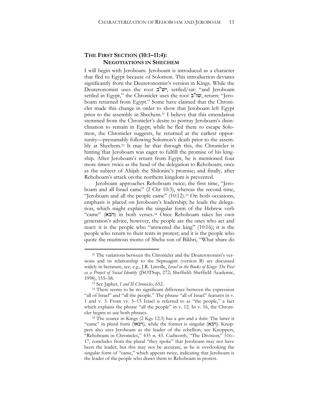## **THE FIRST SECTION (10:1–11:4): NEGOTIATIONS IN SHECHEM**

I will begin with Jeroboam. Jeroboam is introduced as a character that fled to Egypt because of Solomon. This introduction deviates significantly from the Deuteronomist's version in Kings. While the Deuteronomist uses the root  $\mathbf{w}$ " $\mathbf{w}$ , settled/sat: "and Jeroboam" settled in Egypt," the Chronicler uses the root ב"שו, return: "Jeroboam returned from Egypt." Some have claimed that the Chronicler made this change in order to show that Jeroboam left Egypt prior to the assembly in Shechem.<sup>31</sup> I believe that this emendation stemmed from the Chronicler's desire to portray Jeroboam's disinclination to remain in Egypt; while he fled there to escape Solomon, the Chronicler suggests, he returned at the earliest opportunity—presumably following Solomon's death prior to the assembly at Shechem.<sup>32</sup> It may be that through this, the Chronicler is hinting that Jeroboam was eager to fulfill the promise of his kingship. After Jeroboam's return from Egypt, he is mentioned four more times: twice as the head of the delegation to Rehoboam; once as the subject of Ahijah the Shilonite's promise; and finally, after Rehoboam's attack on the northern kingdom is prevented.

Jeroboam approaches Rehoboam twice; the first time, "Jeroboam and all Israel came" (2 Chr 10:3), whereas the second time, "Jeroboam and all the people came" (10:12).<sup>33</sup> On both occasions, emphasis is placed on Jeroboam's leadership; he leads the delegation, which might explain the singular form of the Hebrew verb "came" (ויבא (in both verses.<sup>34</sup> Once Rehoboam takes his own generation's advice, however, the people are the ones who act and react: it is the people who "answered the king" (10:16); it is the people who return to their tents in protest; and it is the people who quote the mutinous motto of Sheba son of Bikhri, "What share do

<sup>&</sup>lt;sup>31</sup> The variations between the Chronicler and the Deuteronomist's versions and its relationship to the Septuagint (version B) are discussed widely in literature, see, e.g., J.R. Linville, *Israel in the Books of Kings: The Past as a Project of Social Identity* (JSOTSup, 272; Sheffield: Sheffield Academic, 1998), 155–58.

<sup>32</sup> See Japhet, *I and II Chronicles*, 652.

<sup>&</sup>lt;sup>33</sup> There seems to be no significant difference between the expression "all of Israel" and "all the people." The phrase "all of Israel" features in v. 1 and v. 3. From vv. 5–15 Israel is referred to as "the people," a fact which explains the phrase "all the people" in v. 12. In v. 16, the Chronicler begins to use both phrases.

<sup>34</sup> The source in Kings (2 Kgs 12:3) has a *qere* and a *ketiv.* The latter is "came" in plural form (ויבאו), while the former is singular (ויבא). Knoppers also sees Jeroboam as the leader of the rebellion, see Knoppers, "Rehoboam in Chronicles," 435 n. 43. Cudworth, "The Division," 516– 17, concludes from the plural "they spoke" that Jeroboam may not have been the leader, but this may not be accurate, as he is overlooking the singular form of "came," which appears twice, indicating that Jeroboam is the leader of the people who draws them to Rehoboam in protest.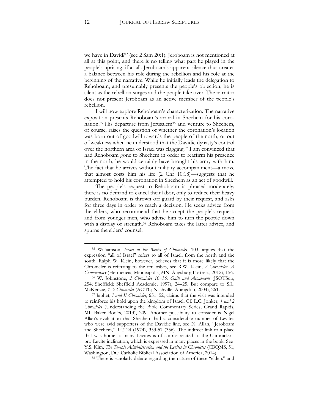we have in David?" (see 2 Sam 20:1). Jeroboam is not mentioned at all at this point, and there is no telling what part he played in the people's uprising, if at all. Jeroboam's apparent silence thus creates a balance between his role during the rebellion and his role at the beginning of the narrative. While he initially leads the delegation to Rehoboam, and presumably presents the people's objection, he is silent as the rebellion surges and the people take over. The narrator does not present Jeroboam as an active member of the people's rebellion.

I will now explore Rehoboam's characterization. The narrative exposition presents Rehoboam's arrival in Shechem for his coronation.<sup>35</sup> His departure from Jerusalem<sup>36</sup> and venture to Shechem, of course, raises the question of whether the coronation's location was born out of goodwill towards the people of the north, or out of weakness when he understood that the Davidic dynasty's control over the northern area of Israel was flagging.<sup>37</sup> I am convinced that had Rehoboam gone to Shechem in order to reaffirm his presence in the north, he would certainly have brought his army with him. The fact that he arrives without military accompaniment—a move that almost costs him his life (2 Chr 10:18)—suggests that he attempted to hold his coronation in Shechem as an act of goodwill.

The people's request to Rehoboam is phrased moderately; there is no demand to cancel their labor, only to reduce their heavy burden. Rehoboam is thrown off guard by their request, and asks for three days in order to reach a decision. He seeks advice from the elders, who recommend that he accept the people's request, and from younger men, who advise him to turn the people down with a display of strength.<sup>38</sup> Rehoboam takes the latter advice, and spurns the elders' counsel.

<sup>35</sup> Williamson, *Israel in the Books of Chronicles*, 103, argues that the expression "all of Israel" refers to all of Israel, from the north and the south. Ralph W. Klein, however, believes that it is more likely that the Chronicler is referring to the ten tribes, see R.W. Klein, *2 Chronicles*: *A Commentary* (Hermeneia; Minneapolis, MN: Augsburg Fortress, 2012), 156.

<sup>36</sup> W. Johnstone, *2 Chronicles 10*–*36: Guilt and Atonement* (JSOTSup, 254; Sheffield: Sheffield Academic, 1997), 24–25. But compare to S.L. McKenzie, *1*–*2 Chronicles* (AOTC; Nashville: Abingdon, 2004), 261.

<sup>37</sup> Japhet, *I and II Chronicles*, 651–52, claims that the visit was intended to reinforce his hold upon the kingdom of Israel. Cf. L.C. Jonker, *1 and 2 Chronicles* (Understanding the Bible Commentary Series; Grand Rapids, MI: Baker Books, 2013), 209. Another possibility to consider is Nigel Allan's evaluation that Shechem had a considerable number of Levites who were avid supporters of the Davidic line, see N. Allan, "Jeroboam and Shechem," *VT* 24 (1974), 353-57 (356). The indirect link to a place that was home to many Levites is of course related to the Chronicler's pro-Levite inclination, which is expressed in many places in the book. See Y.S. Kim, *The Temple Administration and the Levites in Chronicles* (CBQMS, 51; Washington, DC: Catholic Biblical Association of America, 2014).

<sup>38</sup> There is scholarly debate regarding the nature of these "elders" and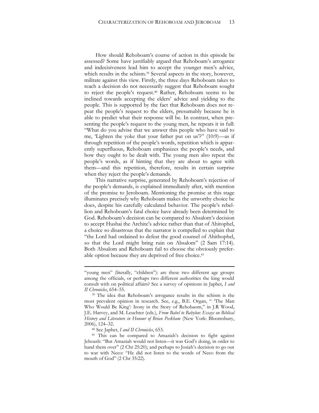How should Rehoboam's course of action in this episode be assessed? Some have justifiably argued that Rehoboam's arrogance and indecisiveness lead him to accept the younger men's advice, which results in the schism.<sup>39</sup> Several aspects in the story, however, militate against this view. Firstly, the three days Rehoboam takes to reach a decision do not necessarily suggest that Rehoboam sought to reject the people's request.<sup>40</sup> Rather, Rehoboam seems to be inclined towards accepting the elders' advice and yielding to the people. This is supported by the fact that Rehoboam does not repeat the people's request to the elders, presumably because he is able to predict what their response will be. In contrast, when presenting the people's request to the young men, he repeats it in full: "What do you advise that we answer this people who have said to me, 'Lighten the yoke that your father put on us'?" (10:9)—as if through repetition of the people's words, repetition which is apparently superfluous, Rehoboam emphasizes the people's needs, and how they ought to be dealt with. The young men also repeat the people's words, as if hinting that they are about to agree with them—and this repetition, therefore, results in certain surprise when they reject the people's demands.

This narrative surprise, generated by Rehoboam's rejection of the people's demands, is explained immediately after, with mention of the promise to Jeroboam. Mentioning the promise at this stage illuminates precisely why Rehoboam makes the unworthy choice he does, despite his carefully calculated behavior. The people's rebellion and Rehoboam's fatal choice have already been determined by God. Rehoboam's decision can be compared to Absalom's decision to accept Hushai the Archite's advice rather than that of Ahitophel, a choice so disastrous that the narrator is compelled to explain that "the Lord had ordained to defeat the good counsel of Ahithophel, so that the Lord might bring ruin on Absalom" (2 Sam 17:14). Both Absalom and Rehoboam fail to choose the obviously preferable option because they are deprived of free choice.<sup>41</sup>

<sup>40</sup> See Japhet, *I and II Chronicles*, 653.

<sup>&</sup>quot;young men" (literally, "children"): are these two different age groups among the officials, or perhaps two different authorities the king would consult with on political affairs? See a survey of opinions in Japhet, *I and II Chronicles*, 654–55.

<sup>&</sup>lt;sup>39</sup> The idea that Rehoboam's arrogance results in the schism is the most prevalent opinion in research. See, e.g., B.E. Organ, " 'The Man Who Would Be King': Irony in the Story of Rehobaom," in J.R Wood, J.E. Harvey, and M. Leuchter (eds.), *From Babel to Babylon: Essays on Biblical History and Literature in Honour of Brian Peckham* (New York: Bloomsbury, 2006), 124–32.

<sup>41</sup> This can be compared to Amaziah's decision to fight against Jehoash: "But Amaziah would not listen—it was God's doing, in order to hand them over" (2 Chr 25:20); and perhaps to Josiah's decision to go out to war with Neco: "He did not listen to the words of Neco from the mouth of God" (2 Chr 35:22).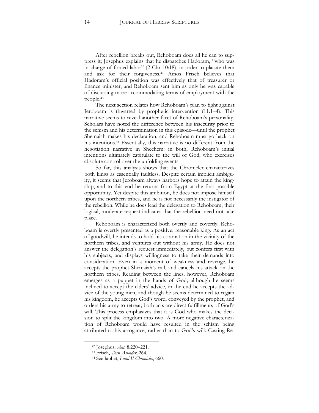After rebellion breaks out, Rehoboam does all he can to suppress it; Josephus explains that he dispatches Hadoram, "who was in charge of forced labor" (2 Chr 10:18), in order to placate them and ask for their forgiveness.<sup>42</sup> Amos Frisch believes that Hadoram's official position was effectively that of treasurer or finance minister, and Rehoboam sent him as only he was capable of discussing more accommodating terms of employment with the people.<sup>43</sup>

The next section relates how Rehoboam's plan to fight against Jeroboam is thwarted by prophetic intervention (11:1–4). This narrative seems to reveal another facet of Rehoboam's personality. Scholars have noted the difference between his insecurity prior to the schism and his determination in this episode—until the prophet Shemaiah makes his declaration, and Rehoboam must go back on his intentions.<sup>44</sup> Essentially, this narrative is no different from the negotiation narrative in Shechem: in both, Rehoboam's initial intentions ultimately capitulate to the will of God, who exercises absolute control over the unfolding events.

So far, this analysis shows that the Chronicler characterizes both kings as essentially faultless. Despite certain implicit ambiguity, it seems that Jeroboam always harbors hope to attain the kingship, and to this end he returns from Egypt at the first possible opportunity. Yet despite this ambition, he does not impose himself upon the northern tribes, and he is not necessarily the instigator of the rebellion. While he does lead the delegation to Rehoboam, their logical, moderate request indicates that the rebellion need not take place.

Rehoboam is characterized both overtly and covertly. Rehoboam is overtly presented as a positive, reasonable king. As an act of goodwill, he intends to hold his coronation in the vicinity of the northern tribes, and ventures out without his army. He does not answer the delegation's request immediately, but confers first with his subjects, and displays willingness to take their demands into consideration. Even in a moment of weakness and revenge, he accepts the prophet Shemaiah's call, and cancels his attack on the northern tribes. Reading between the lines, however, Rehoboam emerges as a puppet in the hands of God; although he seems inclined to accept the elders' advice, in the end he accepts the advice of the young men, and though he seems determined to regain his kingdom, he accepts God's word, conveyed by the prophet, and orders his army to retreat; both acts are direct fulfillments of God's will. This process emphasizes that it is God who makes the decision to split the kingdom into two. A more negative characterization of Rehoboam would have resulted in the schism being attributed to his arrogance, rather than to God's will. Casting Re-

<sup>42</sup> Josephus, *Ant.* 8.220–221.

<sup>43</sup> Frisch, *Torn Asunder*, 264.

<sup>44</sup> See Japhet, *I and II Chronicles*, 660.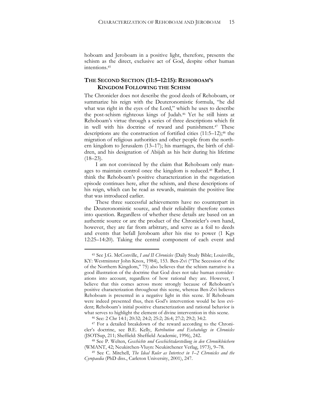hoboam and Jeroboam in a positive light, therefore, presents the schism as the direct, exclusive act of God, despite other human intentions.<sup>45</sup>

## **THE SECOND SECTION (11:5–12:15): REHOBOAM'S KINGDOM FOLLOWING THE SCHISM**

The Chronicler does not describe the good deeds of Rehoboam, or summarize his reign with the Deuteronomistic formula, "he did what was right in the eyes of the Lord," which he uses to describe the post-schism righteous kings of Judah.<sup>46</sup> Yet he still hints at Rehoboam's virtue through a series of three descriptions which fit in well with his doctrine of reward and punishment.<sup>47</sup> These descriptions are the construction of fortified cities  $(11:5-12);$ <sup>48</sup> the migration of religious authorities and other people from the northern kingdom to Jerusalem (13–17); his marriages, the birth of children, and his designation of Abijah as his heir during his lifetime  $(18–23)$ .

I am not convinced by the claim that Rehoboam only manages to maintain control once the kingdom is reduced.<sup>49</sup> Rather, I think the Rehoboam's positive characterization in the negotiation episode continues here, after the schism, and these descriptions of his reign, which can be read as rewards, maintain the positive line that was introduced earlier.

These three successful achievements have no counterpart in the Deuteronomistic source, and their reliability therefore comes into question. Regardless of whether these details are based on an authentic source or are the product of the Chronicler's own hand, however, they are far from arbitrary, and serve as a foil to deeds and events that befall Jeroboam after his rise to power (1 Kgs 12:25–14:20). Taking the central component of each event and

<sup>45</sup> See J.G. McConville, *I and II Chronicles* (Daily Study Bible; Louisville, KY: Westminster John Knox, 1984), 153. Ben-Zvi ("The Secession of the of the Northern Kingdom," 75) also believes that the schism narrative is a good illustration of the doctrine that God does not take human considerations into account, regardless of how rational they are. However, I believe that this comes across more strongly because of Rehoboam's positive characterization throughout this scene, whereas Ben-Zvi believes Rehoboam is presented in a negative light in this scene. If Rehoboam were indeed presented thus, then God's intervention would be less evident; Rehoboam's initial positive characterization and rational behavior is what serves to highlight the element of divine intervention in this scene.

<sup>46</sup> See: 2 Chr 14:1; 20:32; 24:2; 25:2; 26:4; 27:2; 29:2; 34:2.

<sup>47</sup> For a detailed breakdown of the reward according to the Chronicler's doctrine, see B.E. Kelly, *Retribution and Eschatology in Chronicles* (JSOTSup, 211; Sheffield: Sheffield Academic, 1996), 242.

<sup>48</sup> See P. Welten, *Geschichte und Geschichtsdarstellung in den Chronikbüchern* (WMANT, 42; Neukirchen-Vluyn: Neukirchener Verlag, 1973), 9–78.

<sup>49</sup> See C. Mitchell, *The Ideal Ruler as Intertext in 1*–*2 Chronicles and the Cyropaedia* (PhD diss., Carleton University, 2001), 247.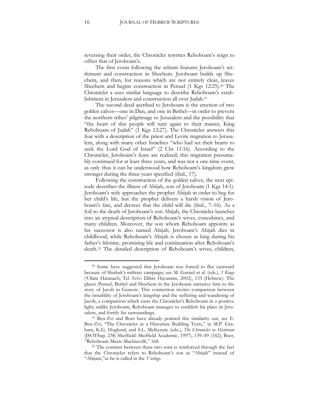reversing their order, the Chronicler rewrites Rehoboam's reign to offset that of Jeroboam's.

The first event following the schism features Jeroboam's settlement and construction in Shechem. Jeroboam builds up Shechem, and then, for reasons which are not entirely clear, leaves Shechem and begins construction in Penuel (1 Kgs 12:25).<sup>50</sup> The Chronicler a uses similar language to describe Rehoboam's establishment in Jerusalem and construction all over Judah.<sup>51</sup>

The second deed ascribed to Jeroboam is the erection of two golden calves—one in Dan, and one in Bethel—in order to prevent the northern tribes' pilgrimage to Jerusalem and the possibility that "the heart of this people will turn again to their master, King Rehoboam of Judah" (1 Kgs 12:27). The Chronicler answers this fear with a description of the priest and Levite migration to Jerusalem, along with many other Israelites "who had set their hearts to seek the Lord God of Israel" (2 Chr 11:16). According to the Chronicler, Jeroboam's fears are realized; this migration presumably continued for at least three years, and was not a one-time event, as only thus it can be understood how Rehoboam's kingdom grew stronger during the three years specified (ibid., 17).

Following the construction of the golden calves, the next episode describes the illness of Abijah, son of Jeroboam (1 Kgs 14:1). Jeroboam's wife approaches the prophet Ahijah in order to beg for her child's life, but the prophet delivers a harsh vision of Jeroboam's fate, and decrees that the child will die (ibid., 7–16). As a foil to the death of Jeroboam's son Abijah, the Chronicler launches into an atypical description of Rehoboam's wives, concubines, and many children. Moreover, the son whom Rehoboam appoints as his successor is also named Abijah; Jeroboam's Abijah dies in childhood, while Rehoboam's Abijah is chosen as king during his father's lifetime, promising life and continuation after Rehoboam's death.<sup>52</sup> The detailed description of Rehoboam's wives, children,

<sup>50</sup> Some have suggested that Jeroboam was forced to flee eastward because of Shishak's military campaign, see M. Garsiel et al. (eds.), *1 Kings* ('Olam Hatanach; Tel Aviv: Dibre Hayamim, 2002), 133 (Hebrew). The places Penuel, Bethel and Shechem in the Jeroboam narrative hint to the story of Jacob in Genesis. This connection invites comparison between the instability of Jeroboam's kingship and the suffering and wandering of Jacob, a comparison which casts the Chronicler's Rehoboam in a positive light; unlike Jeroboam, Rehoboam manages to establish his place in Jerusalem, and fortify his surroundings.

<sup>51</sup> Ben-Zvi and Boer have already pointed this similarity out, see E. Ben-Zvi, "The Chronicler as a Historian: Building Texts," in M.P. Graham, K.G. Hoglund, and S.L. McKenzie (eds.), *The Chronicler as Historian* (JSOTSup, 238; Sheffield: Sheffield Academic, 1997), 139–49 (142); Boer, "Rehoboam Meets Machiavelli," 168.

<sup>52</sup> The contrast between these two sons is reinforced through the fact that the Chronicler refers to Rehoboam's son as "Abijah" instead of "Abijam,"as he is called in the *Vorlage*.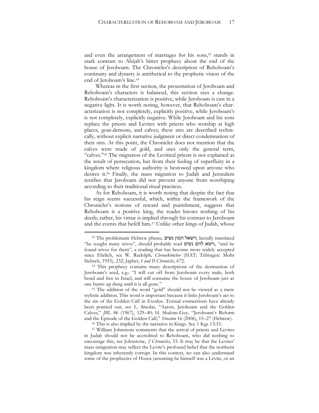and even the arrangement of marriages for his sons,<sup>53</sup> stands in stark contrast to Ahijah's bitter prophecy about the end of the house of Jeroboam. The Chronicler's description of Rehoboam's continuity and dynasty is antithetical to the prophetic vision of the end of Jeroboam's line.<sup>54</sup>

Whereas in the first section, the presentation of Jeroboam and Rehoboam's characters is balanced, this section sees a change. Rehoboam's characterization is positive, while Jeroboam is cast in a negative light. It is worth noting, however, that Rehoboam's characterization is not completely, explicitly positive, while Jeroboam's is not completely, explicitly negative. While Jeroboam and his sons replace the priests and Levites with priests who worship at high places, goat-demons, and calves; these sins are described technically, without explicit narrative judgment or direct condemnation of their sins. At this point, the Chronicler does not mention that the calves were made of gold, and uses only the general term, "calves."<sup>55</sup> The migration of the Levitical priests is not explained as the result of persecution, but from their feeling of superfluity in a kingdom where religious authority is bestowed upon anyone who desires it.<sup>56</sup> Finally, the mass migration to Judah and Jerusalem testifies that Jeroboam did not prevent anyone from worshiping according to their traditional ritual practices.

As for Rehoboam, it is worth noting that despite the fact that his reign seems successful, which, within the framework of the Chronicler's notions of reward and punishment, suggests that Rehoboam is a positive king, the reader knows nothing of his deeds; rather, his virtue is implied through his contrast to Jeroboam and the events that befell him.<sup>57</sup> Unlike other kings of Judah, whose

<sup>53</sup> The problematic Hebrew phrase, נשים המון וישאל, literally translated "he sought many wives", should probably read נשים להם וישא," and he found wives for them", a reading that has become more widely accepted since Ehrlich, see W. Rudolph*, Chronikbücher* (HAT; Tübingen: Mohr Siebeck, 1955), 232; Japhet, *I and II Chronicles*, 672.

<sup>54</sup> This prophecy contains many descriptions of the destruction of Jeroboam's seed, e.g.: "I will cut off from Jeroboam every male, both bond and free in Israel, and will consume the house of Jeroboam just as one burns up dung until it is all gone."

<sup>55</sup> The addition of the word "gold" should not be viewed as a mere stylistic addition. This word is important because it links Jeroboam's act to the sin of the Golden Calf in Exodus. Textual connections have already been pointed out, see L. Smolar, "Aaron, Jeroboam and the Golden Calves," *JBL* 86 (1967), 129–40; H. Shalom-Guy, "Jeroboam's Reform and the Episode of the Golden Calf," *Shnaton* 16 (2006), 15–27 (Hebrew).

<sup>56</sup> This is also implied by the narrative in Kings. See 1 Kgs 13:33.

<sup>57</sup> William Johnstone comments that the arrival of priests and Levites in Judah should not be accredited to Rehoboam, who did nothing to encourage this, see Johnstone, *2 Chronicles*, 33. It may be that the Levites' mass emigration may reflect the Levite's profound belief that the northern kingdom was inherently corrupt. In this context, we can also understand some of the prophecies of Hosea (assuming he himself was a Levite, or an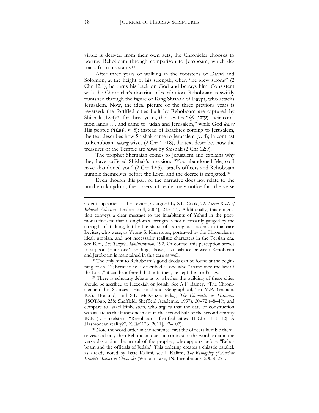virtue is derived from their own acts, the Chronicler chooses to portray Rehoboam through comparison to Jeroboam, which detracts from his status.<sup>58</sup>

After three years of walking in the footsteps of David and Solomon, at the height of his strength, when "he grew strong" (2 Chr 12:1), he turns his back on God and betrays him. Consistent with the Chronicler's doctrine of retribution, Rehoboam is swiftly punished through the figure of King Shishak of Egypt, who attacks Jerusalem. Now, the ideal picture of the three previous years is reversed: the fortified cities built by Rehoboam are captured by Shishak (12:4);<sup>59</sup> for three years, the Levites "*left* (עזבו) their common lands . . . and came to Judah and Jerusalem," while God *leaves*  His people (עזבתי, v. 5); instead of Israelites coming to Jerusalem, the text describes how Shishak came to Jerusalem (v. 4); in contrast to Rehoboam *taking* wives (2 Chr 11:18), the text describes how the treasures of the Temple are *taken* by Shishak (2 Chr 12:9).

The prophet Shemaiah comes to Jerusalem and explains why they have suffered Shishak's invasion: "You abandoned Me, so I have abandoned you" (2 Chr 12:5). Israel's officers and Rehoboam humble themselves before the Lord, and the decree is mitigated.<sup>60</sup>

Even though this part of the narrative does not relate to the northern kingdom, the observant reader may notice that the verse

<sup>58</sup> The only hint to Rehoboam's good deeds can be found at the beginning of ch. 12; because he is described as one who "abandoned the law of the Lord," it can be inferred that until then, he kept the Lord's law.

<sup>59</sup> There is scholarly debate as to whether the building of these cities should be ascribed to Hezekiah or Josiah. See A.F. Rainey, "The Chronicler and his Sources—Historical and Geographical," in M.P. Graham, K.G. Hoglund, and S.L. McKenzie (eds.), *The Chronicler as Historian* (JSOTSup, 238; Sheffield: Sheffield Academic, 1997), 30–72 (48–49), and compare to Israel Finkelstein, who argues that the date of construction was as late as the Hasmonean era in the second half of the second century BCE (I. Finkelstein, "Rehoboam's fortified cities [II Chr 11, 5–12]: A Hasmonean reality?", *ZAW* 123 [2011], 92–107).

<sup>60</sup> Note the word order in the sentence: first the officers humble themselves, and only then Rehoboam does, in contrast to the word order in the verse describing the arrival of the prophet, who appears before "Rehoboam and the officials of Judah." This ordering creates a chiastic parallel, as already noted by Isaac Kalimi, see I. Kalimi, *The Reshaping of Ancient Israelite History in Chronicles* (Winona Lake, IN: Eisenbrauns, 2005), 221.

ardent supporter of the Levites, as argued by S.L. Cook, *The Social Roots of Biblical Yahwism* [Leiden: Brill, 2004], 213–43). Additionally, this emigration conveys a clear message to the inhabitants of Yehud in the postmonarchic era: that a kingdom's strength is not necessarily gauged by the strength of its king, but by the status of its religious leaders, in this case Levites, who were, as Yeong S. Kim notes, portrayed by the Chronicler as ideal, utopian, and not necessarily realistic characters in the Persian era. See Kim, *The Temple Administration*, 192. Of course, this perception serves to support Johnstone's reading, above, that balance between Rehoboam and Jeroboam is maintained in this case as well.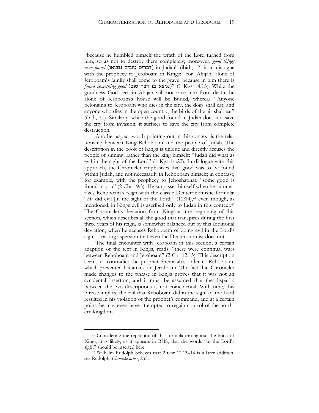"because he humbled himself the wrath of the Lord turned from him, so as not to destroy them completely; moreover, *good things were found* (נדברים טובים נמצאו) in Judah" (ibid., 12) is in dialogue with the prophecy to Jeroboam in Kings: "for [Abijah] alone of Jeroboam's family shall come to the grave, because in him there is *found something good* (נמצא בו דבר טוב)" (1 Kgs 14:13). While the goodness God sees in Abijah will not save him from death, he alone of Jeroboam's house will be buried, whereas "Anyone belonging to Jeroboam who dies in the city, the dogs shall eat; and anyone who dies in the open country, the birds of the air shall eat" (ibid., 11). Similarly, while the good found in Judah does not save the city from invasion, it suffices to save the city from complete destruction.

Another aspect worth pointing out in this context is the relationship between King Rehoboam and the people of Judah. The description in the book of Kings is unique and directly accuses the people of sinning, rather than the king himself: "Judah did what as evil in the sight of the Lord" (1 Kgs 14:22). In dialogue with this approach, the Chronicler emphasizes that good was to be found within Judah, and not necessarily in Rehoboam himself; in contrast, for example, with the prophecy to Jehoshaphat: "some good is found in you" (2 Chr 19:3). He surpasses himself when he summarizes Rehoboam's reign with the classic Deuteronomistic formula: "*He* did evil [in the sight of the Lord]" (12:14),<sup>61</sup> even though, as mentioned, in Kings evil is ascribed only to Judah in this context.<sup>62</sup> The Chronicler's deviation from Kings at the beginning of this section, which describes all the good that transpires during the first three years of his reign, is somewhat balanced out by this additional deviation, when he accuses Rehoboam of doing evil in the Lord's sight—casting aspersion that even the Deuteronomist does not.

The final encounter with Jeroboam in this section, a certain adaption of the text in Kings, reads: "there were continual wars between Rehoboam and Jeroboam" (2 Chr 12:15). This description seems to contradict the prophet Shemaiah's order to Rehoboam, which prevented his attack on Jeroboam. The fact that Chronicler made changes to the phrase in Kings proves that it was not an accidental insertion, and it must be assumed that the disparity between the two descriptions is not coincidental. With time, this phrase implies, the evil that Rehoboam did in the sight of the Lord resulted in his violation of the prophet's command, and at a certain point, he may even have attempted to regain control of the northern kingdom.

<sup>61</sup> Considering the repetition of this formula throughout the book of Kings, it is likely, as it appears in BHS, that the words "in the Lord's sight" should be inserted here.

<sup>62</sup> Wilhelm Rudolph believes that 2 Chr 12:13–14 is a later addition, see Rudolph, *Chronikbücher*, 235.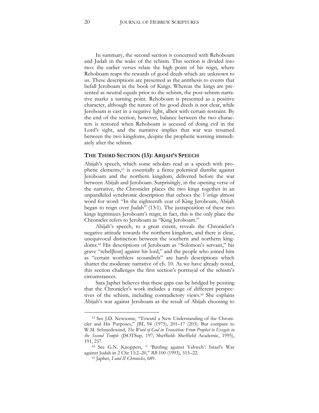In summary, the second section is concerned with Rehoboam and Judah in the wake of the schism. This section is divided into two: the earlier verses relate the high point of his reign, where Rehoboam reaps the rewards of good deeds which are unknown to us. These descriptions are presented as the antithesis to events that befall Jeroboam in the book of Kings. Whereas the kings are presented as neutral equals prior to the schism, the post-schism narrative marks a turning point. Rehoboam is presented as a positive character, although the nature of his good deeds is not clear, while Jeroboam is cast in a negative light, albeit with certain restraint. By the end of the section, however, balance between the two characters is restored when Rehoboam is accused of doing evil in the Lord's sight, and the narrative implies that war was resumed between the two kingdoms, despite the prophetic warning immediately after the schism.

#### **THE THIRD SECTION (13): ABIJAH'S SPEECH**

Abijah's speech, which some scholars read as a speech with prophetic elements,<sup>63</sup> is essentially a fierce polemical diatribe against Jeroboam and the northern kingdom, delivered before the war between Abijah and Jeroboam. Surprisingly, in the opening verse of the narrative, the Chronicler places the two kings together in an unparalleled synchronic description that echoes the *Vorlage* almost word for word: "In the eighteenth year of King Jeroboam, Abijah began to reign over Judah" (13:1). The juxtaposition of these two kings legitimizes Jeroboam's reign; in fact, this is the only place the Chronicler refers to Jeroboam as "King Jeroboam."

Abijah's speech, to a great extent, reveals the Chronicler's negative attitude towards the northern kingdom, and there is clear, unequivocal distinction between the southern and northern kingdoms.<sup>64</sup> His descriptions of Jeroboam as "Solomon's servant," his grave "rebel[lion] against his lord," and the people who joined him as "certain worthless scoundrels" are harsh descriptions which shatter the moderate narrative of ch. 10. As we have already noted, this section challenges the first section's portrayal of the schism's circumstances.

Sara Japhet believes that these gaps can be bridged by positing that the Chronicler's work includes a range of different perspectives of the schism, including contradictory views.<sup>65</sup> She explains Abijah's war against Jeroboam as the result of Abijah choosing to

<sup>63</sup> See J.D. Newsome, "Toward a New Understanding of the Chronicler and His Purposes," *JBL* 94 (1975), 201–17 (203). But compare to W.M. Schniedewind, *The Word of God in Transition: From Prophet to Exegete in the Second Temple* (JSOTSup, 197; Sheffield: Sheffield Academic, 1995), 191, 237.

<sup>64</sup> See G.N. Knoppers, " 'Battling against Yahweh': Israel's War against Judah in 2 Chr 13:2–20," *RB* 100 (1993), 515–22.

<sup>65</sup> Japhet, *I and II Chronicles*, 689.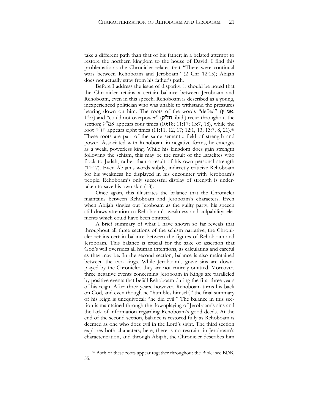take a different path than that of his father; in a belated attempt to restore the northern kingdom to the house of David. I find this problematic as the Chronicler relates that "There were continual wars between Rehoboam and Jeroboam" (2 Chr 12:15); Abijah does not actually stray from his father's path.

Before I address the issue of disparity, it should be noted that the Chronicler retains a certain balance between Jeroboam and Rehoboam, even in this speech. Rehoboam is described as a young, inexperienced politician who was unable to withstand the pressures bearing down on him. The roots of the words "defied" (ץ"אמ, 13:7) and "could not overpower" (ק"חז, ibid.) recur throughout the section; אמ"ץ appears four times (10:18; 11:17; 13:7, 18), while the root ק"חז appears eight times (11:11, 12, 17; 12:1, 13; 13:7, 8, 21).<sup>66</sup> These roots are part of the same semantic field of strength and power. Associated with Rehoboam in negative forms, he emerges as a weak, powerless king. While his kingdom does gain strength following the schism, this may be the result of the Israelites who flock to Judah, rather than a result of his own personal strength (11:17). Even Abijah's words subtly, indirectly criticize Rehoboam for his weakness he displayed in his encounter with Jeroboam's people. Rehoboam's only successful display of strength is undertaken to save his own skin (18).

Once again, this illustrates the balance that the Chronicler maintains between Rehoboam and Jeroboam's characters. Even when Abijah singles out Jeroboam as the guilty party, his speech still draws attention to Rehoboam's weakness and culpability; elements which could have been omitted.

A brief summary of what I have shown so far reveals that throughout all three sections of the schism narrative, the Chronicler retains certain balance between the figures of Rehoboam and Jeroboam. This balance is crucial for the sake of assertion that God's will overrides all human intentions, as calculating and careful as they may be. In the second section, balance is also maintained between the two kings. While Jeroboam's grave sins are downplayed by the Chronicler, they are not entirely omitted. Moreover, three negative events concerning Jeroboam in Kings are paralleled by positive events that befall Rehoboam during the first three years of his reign. After three years, however, Rehoboam turns his back on God, and even though he "humbles himself," the final summary of his reign is unequivocal: "he did evil." The balance in this section is maintained through the downplaying of Jeroboam's sins and the lack of information regarding Rehoboam's good deeds. At the end of the second section, balance is restored fully as Rehoboam is deemed as one who does evil in the Lord's sight. The third section explores both characters; here, there is no restraint in Jeroboam's characterization, and through Abijah, the Chronicler describes him

<sup>66</sup> Both of these roots appear together throughout the Bible: see BDB, 55.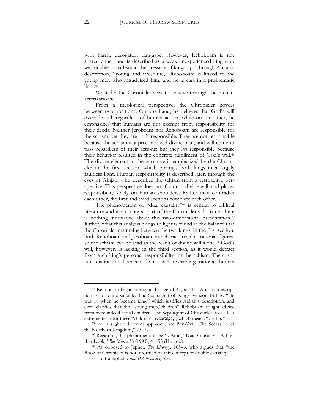with harsh, derogatory language. However, Rehoboam is not spared either, and is described as a weak, inexperienced king who was unable to withstand the pressure of kingship. Through Abijah's description, "young and irresolute," Rehoboam is linked to the young men who misadvised him, and he is cast in a problematic light.<sup>67</sup>

What did the Chronicler seek to achieve through these characterizations?

From a theological perspective, the Chronicler hovers between two positions. On one hand, he believes that God's will overrides all, regardless of human action, while on the other, he emphasizes that humans are not exempt from responsibility for their deeds. Neither Jeroboam nor Rehoboam are responsible for the schism; yet they are both responsible. They are not responsible because the schism is a preconceived divine plan, and will come to pass regardless of their actions; but they *are* responsible because their behavior resulted in the concrete fulfillment of God's will.<sup>68</sup> The divine element in the narrative is emphasized by the Chronicler in the first section, which portrays both kings in a largely faultless light. Human responsibility is described later, through the eyes of Abijah, who describes the schism from a retroactive perspective. This perspective does not factor in divine will, and places responsibility solely on human shoulders. Rather than contradict each other, the first and third sections complete each other.

The phenomenon of "dual causality"<sup>69</sup> is central to biblical literature and is an integral part of the Chronicler's doctrine; there is nothing innovative about this two-dimensional presentation.<sup>70</sup> Rather, what this analysis brings to light is found in the balance that the Chronicler maintains between the two kings: in the first section, both Rehoboam and Jeroboam are characterized as rational figures, so the schism can be read as the result of divine will alone.<sup>71</sup> God's will, however, is lacking in the third section, as it would detract from each king's personal responsibility for the schism. The absolute distinction between divine will overriding rational human

<sup>67</sup> Rehoboam began ruling at the age of 41, so that Abijah's description is not quite suitable. The Septuagint of Kings (version B) has: "He was 16 when he became king," which justifies Abijah's description, and even clarifies that the "young men/children" Rehoboam sought advice from were indeed actual children. The Septuagint of Chronicles uses a less extreme term for these "children": (νεώτερος), which means "youths."

<sup>68</sup> For a slightly different approach, see Ben-Zvi, "The Secession of the Northern Kingdom," 73–77.

<sup>69</sup> Regarding this phenomenon, see Y. Amit, "Dual Causality—A Further Look," *Bet Miqra* 38 (1993), 41–55 (Hebrew).

<sup>70</sup> As opposed to Japhet, *The Ideology*, 105–6, who argues that "the Book of Chronicles is not informed by this concept of double causality."

<sup>71</sup> Contra Japhet, *I and II Chronicles*, 656.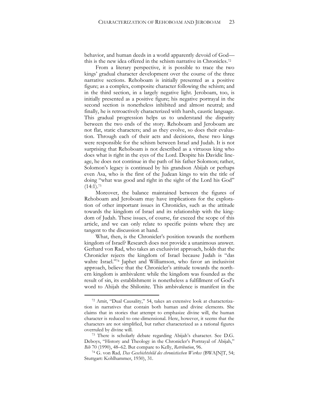behavior, and human deeds in a world apparently devoid of God this is the new idea offered in the schism narrative in Chronicles.<sup>72</sup>

From a literary perspective, it is possible to trace the two kings' gradual character development over the course of the three narrative sections. Rehoboam is initially presented as a positive figure; as a complex, composite character following the schism; and in the third section, in a largely negative light. Jeroboam, too, is initially presented as a positive figure; his negative portrayal in the second section is nonetheless inhibited and almost neutral; and finally, he is retroactively characterized with harsh, caustic language. This gradual progression helps us to understand the disparity between the two ends of the story. Rehoboam and Jeroboam are not flat, static characters; and as they evolve, so does their evaluation. Through each of their acts and decisions, these two kings were responsible for the schism between Israel and Judah. It is not surprising that Rehoboam is not described as a virtuous king who does what is right in the eyes of the Lord. Despite his Davidic lineage, he does not continue in the path of his father Solomon; rather, Solomon's legacy is continued by his grandson Abijah or perhaps even Asa, who is the first of the Judean kings to win the title of doing "what was good and right in the sight of the Lord his God"  $(14:1).^{73}$ 

Moreover, the balance maintained between the figures of Rehoboam and Jeroboam may have implications for the exploration of other important issues in Chronicles, such as the attitude towards the kingdom of Israel and its relationship with the kingdom of Judah. These issues, of course, far exceed the scope of this article, and we can only relate to specific points where they are tangent to the discussion at hand.

What, then, is the Chronicler's position towards the northern kingdom of Israel? Research does not provide a unanimous answer. Gerhard von Rad, who takes an exclusivist approach, holds that the Chronicler rejects the kingdom of Israel because Judah is "das wahre Israel."<sup>74</sup> Japhet and Williamson, who favor an inclusivist approach, believe that the Chronicler's attitude towards the northern kingdom is ambivalent: while the kingdom was founded as the result of sin, its establishment is nonetheless a fulfillment of God's word to Ahijah the Shilonite. This ambivalence is manifest in the

<sup>72</sup> Amit, "Dual Causality," 54, takes an extensive look at characterization in narratives that contain both human and divine elements. She claims that in stories that attempt to emphasize divine will, the human character is reduced to one-dimensional. Here, however, it seems that the characters are not simplified, but rather characterized as a rational figures overruled by divine will.

<sup>73</sup> There is scholarly debate regarding Abijah's character. See D.G. Deboys, "History and Theology in the Chronicler's Portrayal of Abijah," *Bib* 70 (1990), 48–62. But compare to Kelly, *Retribution*, 96.

<sup>74</sup> G. von Rad*, Das Geschichtsbild des chronistischen Werkes* (BWA[N]T, 54; Stuttgart: Kohlhammer, 1930), 31.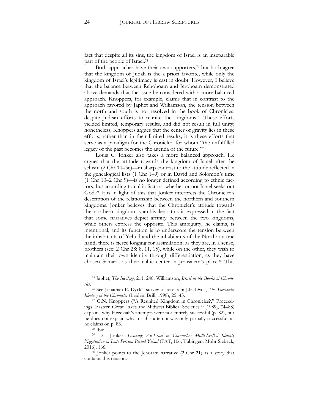fact that despite all its sins, the kingdom of Israel is an inseparable part of the people of Israel. 75

Both approaches have their own supporters,<sup>76</sup> but both agree that the kingdom of Judah is the a priori favorite, while only the kingdom of Israel's legitimacy is cast in doubt. However, I believe that the balance between Rehoboam and Jeroboam demonstrated above demands that the issue be considered with a more balanced approach. Knoppers, for example, claims that in contrast to the approach favored by Japhet and Williamson, the tension between the north and south is not resolved in the book of Chronicles, despite Judean efforts to reunite the kingdoms.<sup>77</sup> These efforts yielded limited, temporary results, and did not result in full unity; nonetheless, Knoppers argues that the center of gravity lies in these efforts, rather than in their limited results; it is these efforts that serve as a paradigm for the Chronicler, for whom "the unfulfilled legacy of the past becomes the agenda of the future."<sup>78</sup>

Louis C. Jonker also takes a more balanced approach. He argues that the attitude towards the kingdom of Israel after the schism (2 Chr 10–36)—in sharp contrast to the attitude reflected in the genealogical lists (1 Chr 1–9) or in David and Solomon's time (1 Chr 10–2 Chr 9)—is no longer defined according to ethnic factors, but according to cultic factors: whether or not Israel seeks out God.<sup>79</sup> It is in light of this that Jonker interprets the Chronicler's description of the relationship between the northern and southern kingdoms. Jonker believes that the Chronicler's attitude towards the northern kingdom is ambivalent; this is expressed in the fact that some narratives depict affinity between the two kingdoms, while others express the opposite. This ambiguity, he claims, is intentional, and its function is to underscore the tension between the inhabitants of Yehud and the inhabitants of the North: on one hand, there is fierce longing for assimilation, as they are, in a sense, brothers (see: 2 Chr 28: 8, 11, 15), while on the other, they wish to maintain their own identity through differentiation, as they have chosen Samaria as their cultic center in Jerusalem's place.<sup>80</sup> This

<sup>75</sup> Japhet, *The Ideology*, 211, 248; Williamson, *Israel in the Books of Chronicles*.

<sup>76</sup> See Jonathan E. Dyck's survey of research: J.E. Dyck, *The Theocratic Ideology of the Chronicler* (Leiden: Brill, 1998), 25–43.

<sup>77</sup> G.N. Knoppers ("A Reunited Kingdom in Chronicles?," Proceedings: Eastern Great Lakes and Midwest Biblical Societies 9 [1989], 74–88) explains why Hezekiah's attempts were not entirely successful (p. 82), but he does not explain why Josiah's attempt was only partially successful, as he claims on p. 83.

<sup>78</sup> Ibid.

<sup>79</sup> L.C. Jonker, *Defining All-Israel in Chronicles: Multi-levelled Identity Negotiation in Late Persian-Period Yehud* (FAT, 106; Tübingen: Mohr Siebeck, 2016), 166.

<sup>80</sup> Jonker points to the Jehoram narrative (2 Chr 21) as a story that contains this tension.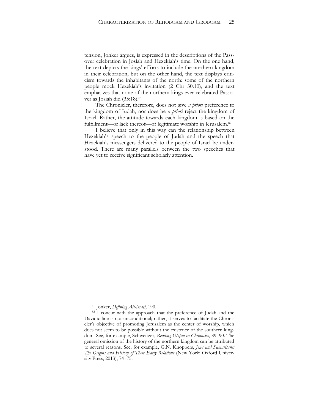tension, Jonker argues, is expressed in the descriptions of the Passover celebration in Josiah and Hezekiah's time. On the one hand, the text depicts the kings' efforts to include the northern kingdom in their celebration, but on the other hand, the text displays criticism towards the inhabitants of the north: some of the northern people mock Hezekiah's invitation (2 Chr 30:10), and the text emphasizes that none of the northern kings ever celebrated Passover as Josiah did (35:18).<sup>81</sup>

The Chronicler, therefore, does not give *a priori* preference to the kingdom of Judah, nor does he *a priori* reject the kingdom of Israel. Rather, the attitude towards each kingdom is based on the fulfillment—or lack thereof—of legitimate worship in Jerusalem.<sup>82</sup>

I believe that only in this way can the relationship between Hezekiah's speech to the people of Judah and the speech that Hezekiah's messengers delivered to the people of Israel be understood. There are many parallels between the two speeches that have yet to receive significant scholarly attention.

<sup>81</sup> Jonker, *Defining All-Israel*, 190.

<sup>82</sup> I concur with the approach that the preference of Judah and the Davidic line is not unconditional; rather, it serves to facilitate the Chronicler's objective of promoting Jerusalem as the center of worship, which does not seem to be possible without the existence of the southern kingdom. See, for example, Schweitzer, *Reading Utopia in Chronicles*, 89–90. The general omission of the history of the northern kingdom can be attributed to several reasons. See, for example, G.N. Knoppers, *Jews and Samaritans: The Origins and History of Their Early Relations* (New York: Oxford University Press, 2013), 74–75.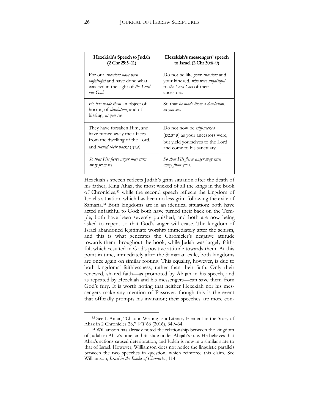| Hezekiah's Speech to Judah                                                                     | Hezekiah's messengers' speech                             |  |
|------------------------------------------------------------------------------------------------|-----------------------------------------------------------|--|
| $(2 \text{ Chr } 29:5-11)$                                                                     | to Israel (2 Chr 30:6–9)                                  |  |
| For our <i>ancestors have been</i>                                                             | Do not be like <i>your ancestors</i> and                  |  |
| <i>unfaithful</i> and have done what                                                           | your kindred, who were unfaithful                         |  |
| was evil in the sight of the Lord                                                              | to the Lord God of their                                  |  |
| our God.                                                                                       | ancestors.                                                |  |
| He has made them an object of<br>horror, of <i>desolation</i> , and of<br>hissing, as you see. | So that <i>he made them a desolation</i> ,<br>as you see. |  |
| They have forsaken Him, and                                                                    | Do not now be <i>stiff-necked</i>                         |  |
| have turned away their faces                                                                   | $($ ערפכם) as your ancestors were,                        |  |
| from the dwelling of the Lord,                                                                 | but yield yourselves to the Lord                          |  |
| and <i>turned their backs</i> (ערף).                                                           | and come to his sanctuary.                                |  |
| So that His fierce anger may turn                                                              | So that His fierce anger may turn                         |  |
| <i>away from us.</i>                                                                           | away from you.                                            |  |

Hezekiah's speech reflects Judah's grim situation after the death of his father, King Ahaz, the most wicked of all the kings in the book of Chronicles,<sup>83</sup> while the second speech reflects the kingdom of Israel's situation, which has been no less grim following the exile of Samaria.<sup>84</sup> Both kingdoms are in an identical situation: both have acted unfaithful to God; both have turned their back on the Temple; both have been severely punished, and both are now being asked to repent so that God's anger will cease. The kingdom of Israel abandoned legitimate worship immediately after the schism, and this is what generates the Chronicler's negative attitude towards them throughout the book, while Judah was largely faithful, which resulted in God's positive attitude towards them. At this point in time, immediately after the Samarian exile, both kingdoms are once again on similar footing. This equality, however, is due to both kingdoms' faithlessness, rather than their faith. Only their renewed, shared faith—as promoted by Abijah in his speech, and as repeated by Hezekiah and his messengers—can save them from God's fury. It is worth noting that neither Hezekiah nor his messengers make any mention of Passover, though this is the event that officially prompts his invitation; their speeches are more con-

<sup>83</sup> See I. Amar, "Chaotic Writing as a Literary Element in the Story of Ahaz in 2 Chronicles 28," *VT* 66 (2016), 349–64.

<sup>84</sup> Williamson has already noted the relationship between the kingdom of Judah in Ahaz's time, and its state under Abijah's rule. He believes that Ahaz's actions caused deterioration, and Judah is now in a similar state to that of Israel. However, Williamson does not notice the linguistic parallels between the two speeches in question, which reinforce this claim. See Williamson, *Israel in the Books of Chronicles*, 114.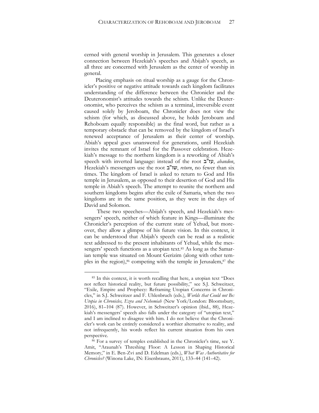cerned with general worship in Jerusalem. This generates a closer connection between Hezekiah's speeches and Abijah's speech, as all three are concerned with Jerusalem as the center of worship in general.

Placing emphasis on ritual worship as a gauge for the Chronicler's positive or negative attitude towards each kingdom facilitates understanding of the difference between the Chronicler and the Deuteronomist's attitudes towards the schism. Unlike the Deuteronomist, who perceives the schism as a terminal, irreversible event caused solely by Jeroboam, the Chronicler does not view the schism (for which, as discussed above, he holds Jeroboam and Rehoboam equally responsible) as the final word, but rather as a temporary obstacle that can be removed by the kingdom of Israel's renewed acceptance of Jerusalem as their center of worship. Abiah's appeal goes unanswered for generations, until Hezekiah invites the remnant of Israel for the Passover celebration. Hezekiah's message to the northern kingdom is a reworking of Abiah's speech with inverted language: instead of the root ב"עז, *abandon*, Hezekiah's messengers use the root ב"שו, *return*, no fewer than six times. The kingdom of Israel is asked to return to God and His temple in Jerusalem, as opposed to their desertion of God and His temple in Abiah's speech. The attempt to reunite the northern and southern kingdoms begins after the exile of Samaria, when the two kingdoms are in the same position, as they were in the days of David and Solomon.

These two speeches—Abijah's speech, and Hezekiah's messengers' speech, neither of which feature in Kings—illuminate the Chronicler's perception of the current state of Yehud, but moreover, they allow a glimpse of his future vision. In this context, it can be understood that Abijah's speech can be read as a realistic text addressed to the present inhabitants of Yehud, while the messengers' speech functions as a utopian text.<sup>85</sup> As long as the Samarian temple was situated on Mount Gerizim (along with other temples in the region), $86$  competing with the temple in Jerusalem, $87$  the

<sup>85</sup> In this context, it is worth recalling that here, a utopian text "Does not reflect historical reality, but future possibility," see S.J. Schweitzer, "Exile, Empire and Prophecy: Reframing Utopian Concerns in Chronicles," in S.J. Schweitzer and F. Uhlenbruch (eds.), *Worlds that Could not Be: Utopia in Chronicles, Ezra and Nehemiah* (New York/London: Bloomsbury, 2016), 81–104 (87). However, in Schweitzer's opinion (ibid., 88), Hezekiah's messengers' speech also falls under the category of "utopian text," and I am inclined to disagree with him. I do not believe that the Chronicler's work can be entirely considered a worthier alternative to reality, and not infrequently, his words reflect his current situation from his own perspective.

<sup>86</sup> For a survey of temples established in the Chronicler's time, see Y. Amit, "Araunah's Threshing Floor: A Lesson in Shaping Historical Memory," in E. Ben-Zvi and D. Edelman (eds.), *What Was Authoritative for Chronicles?* (Winona Lake, IN: Eisenbrauns, 2011), 133–44 (141–42).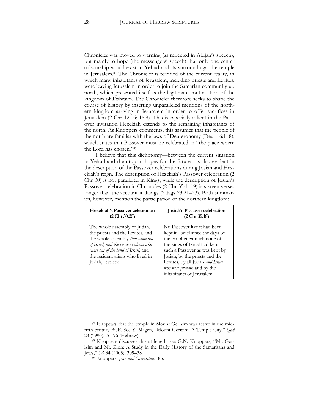Chronicler was moved to warning (as reflected in Abijah's speech), but mainly to hope (the messengers' speech) that only one center of worship would exist in Yehud and its surroundings: the temple in Jerusalem.<sup>88</sup> The Chronicler is terrified of the current reality, in which many inhabitants of Jerusalem, including priests and Levites, were leaving Jerusalem in order to join the Samarian community up north, which presented itself as the legitimate continuation of the kingdom of Ephraim. The Chronicler therefore seeks to shape the course of history by inserting unparalleled mentions of the northern kingdom arriving in Jerusalem in order to offer sacrifices in Jerusalem (2 Chr 12:16; 15:9). This is especially salient in the Passover invitation Hezekiah extends to the remaining inhabitants of the north. As Knoppers comments, this assumes that the people of the north are familiar with the laws of Deuteronomy (Deut 16:1–8), which states that Passover must be celebrated in "the place where the Lord has chosen."<sup>89</sup>

I believe that this dichotomy—between the current situation in Yehud and the utopian hopes for the future—is also evident in the description of the Passover celebrations during Josiah and Hezekiah's reign. The description of Hezekiah's Passover celebration (2 Chr 30) is not paralleled in Kings, while the description of Josiah's Passover celebration in Chronicles (2 Chr 35:1–19) is sixteen verses longer than the account in Kings (2 Kgs 23:21–23). Both summaries, however, mention the participation of the northern kingdom:

| Hezekiah's Passover celebration                                                                                                                                                                                                                      | <b>Josiah's Passover celebration</b>                                                                                                                                                                                                                                                                         |
|------------------------------------------------------------------------------------------------------------------------------------------------------------------------------------------------------------------------------------------------------|--------------------------------------------------------------------------------------------------------------------------------------------------------------------------------------------------------------------------------------------------------------------------------------------------------------|
| $(2 \text{ Chr } 30:25)$                                                                                                                                                                                                                             | $(2 \text{ Chr } 35:18)$                                                                                                                                                                                                                                                                                     |
| The whole assembly of Judah,<br>the priests and the Levites, and<br>the whole assembly <i>that came out</i><br>of Israel, and the resident aliens who<br>came out of the land of Israel, and<br>the resident aliens who lived in<br>Judah, rejoiced. | No Passover like it had been<br>kept in Israel since the days of<br>the prophet Samuel; none of<br>the kings of Israel had kept<br>such a Passover as was kept by<br>Josiah, by the priests and the<br>Levites, by all Judah and Israel<br><i>who were present</i> , and by the<br>inhabitants of Jerusalem. |

<sup>&</sup>lt;sup>87</sup> It appears that the temple in Mount Gerizim was active in the midfifth century BCE. See Y. Magen, "Mount Gerizim: A Temple City," *Qad* 23 (1990), 76–96 (Hebrew).

<sup>88</sup> Knoppers discusses this at length, see G.N. Knoppers, "Mt. Gerizim and Mt. Zion: A Study in the Early History of the Samaritans and Jews," *SR* 34 (2005), 309–38.

<sup>89</sup> Knoppers, *Jews and Samaritans*, 85.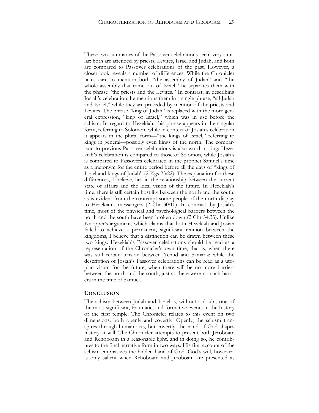These two summaries of the Passover celebrations seem very similar: both are attended by priests, Levites, Israel and Judah, and both are compared to Passover celebrations of the past. However, a closer look reveals a number of differences. While the Chronicler takes care to mention both "the assembly of Judah" and "the whole assembly that came out of Israel," he separates them with the phrase "the priests and the Levites." In contrast, in describing Josiah's celebration, he mentions them in a single phrase, "all Judah and Israel," while they are preceded by mention of the priests and Levites. The phrase "king of Judah" is replaced with the more general expression, "king of Israel," which was in use before the schism. In regard to Hezekiah, this phrase appears in the singular form, referring to Solomon, while in context of Josiah's celebration it appears in the plural form—"the kings of Israel," referring to kings in general—possibly even kings of the north. The comparison to previous Passover celebrations is also worth noting: Hezekiah's celebration is compared to those of Solomon, while Josiah's is compared to Passovers celebrated in the prophet Samuel's time as a metonym for the entire period before all the days of "kings of Israel and kings of Judah" (2 Kgs 23:22). The explanation for these differences, I believe, lies in the relationship between the current state of affairs and the ideal vision of the future. In Hezekiah's time, there is still certain hostility between the north and the south, as is evident from the contempt some people of the north display to Hezekiah's messengers (2 Chr 30:10). In contrast, by Josiah's time, most of the physical and psychological barriers between the north and the south have been broken down (2 Chr 34:33). Unlike Knopper's argument, which claims that both Hezekiah and Josiah failed to achieve a permanent, significant reunion between the kingdoms, I believe that a distinction can be drawn between these two kings: Hezekiah's Passover celebrations should be read as a representation of the Chronicler's own time, that is, when there was still certain tension between Yehud and Samaria; while the description of Josiah's Passover celebrations can be read as a utopian vision for the future, when there will be no more barriers between the north and the south, just as there were no such barriers in the time of Samuel.

#### **CONCLUSION**

The schism between Judah and Israel is, without a doubt, one of the most significant, traumatic, and formative events in the history of the first temple. The Chronicler relates to this event on two dimensions: both openly and covertly. Openly, the schism transpires through human acts, but covertly, the hand of God shapes history at will. The Chronicler attempts to present both Jeroboam and Rehoboam in a reasonable light, and in doing so, he contributes to the final narrative form in two ways. His first account of the schism emphasizes the hidden hand of God. God's will, however, is only salient when Rehoboam and Jeroboam are presented as